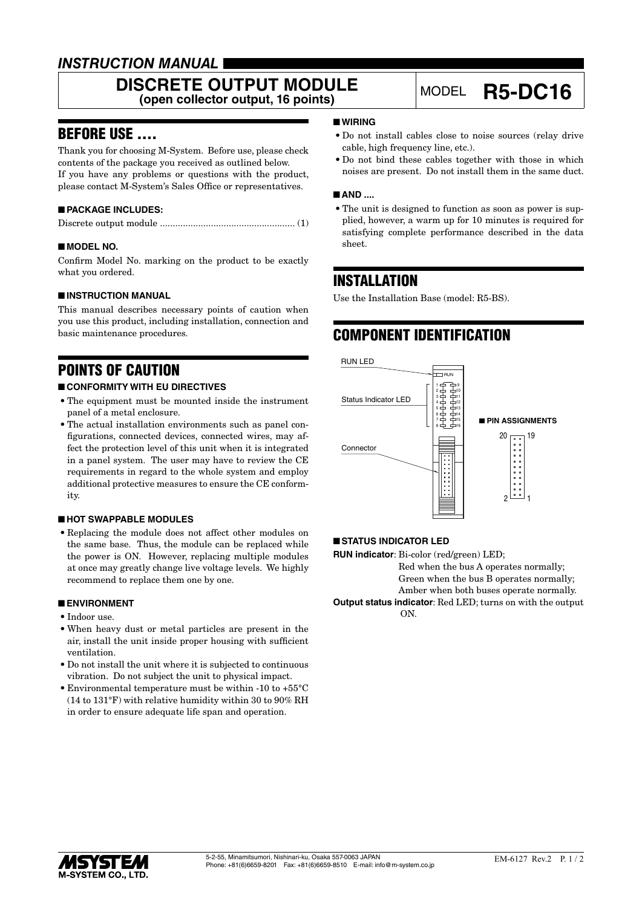### *INSTRUCTION MANUAL*

# **DISCRETE OUTPUT MODULE**<br>(open collector output, 16 points)

## **(open collector output, 16 points)** MODEL **R5-DC16**

### BEFORE USE ....

Thank you for choosing M-System. Before use, please check contents of the package you received as outlined below. If you have any problems or questions with the product, please contact M-System's Sales Office or representatives.

#### ■ **PACKAGE INCLUDES:**

|--|--|--|

#### ■ **MODEL NO.**

Confirm Model No. marking on the product to be exactly what you ordered.

#### ■ **INSTRUCTION MANUAL**

This manual describes necessary points of caution when you use this product, including installation, connection and basic maintenance procedures.

### POINTS OF CAUTION

#### ■ **CONFORMITY WITH EU DIRECTIVES**

- The equipment must be mounted inside the instrument panel of a metal enclosure.
- The actual installation environments such as panel configurations, connected devices, connected wires, may affect the protection level of this unit when it is integrated in a panel system. The user may have to review the CE requirements in regard to the whole system and employ additional protective measures to ensure the CE conformity.

#### ■ **HOT SWAPPABLE MODULES**

• Replacing the module does not affect other modules on the same base. Thus, the module can be replaced while the power is ON. However, replacing multiple modules at once may greatly change live voltage levels. We highly recommend to replace them one by one.

#### ■ **ENVIRONMENT**

- Indoor use.
- When heavy dust or metal particles are present in the air, install the unit inside proper housing with sufficient ventilation.
- Do not install the unit where it is subjected to continuous vibration. Do not subject the unit to physical impact.
- Environmental temperature must be within -10 to +55°C (14 to 131°F) with relative humidity within 30 to 90% RH in order to ensure adequate life span and operation.

#### ■ **WIRING**

- Do not install cables close to noise sources (relay drive cable, high frequency line, etc.).
- Do not bind these cables together with those in which noises are present. Do not install them in the same duct.

#### ■ AND ....

• The unit is designed to function as soon as power is supplied, however, a warm up for 10 minutes is required for satisfying complete performance described in the data sheet.

### INSTALLATION

Use the Installation Base (model: R5-BS).

### COMPONENT IDENTIFICATION



#### ■ **STATUS INDICATOR LED**

**RUN indicator**: Bi-color (red/green) LED; Red when the bus A operates normally; Green when the bus B operates normally; Amber when both buses operate normally. **Output status indicator**: Red LED; turns on with the output ON.

15YSTE V **M-SYSTEM CO., LTD.**